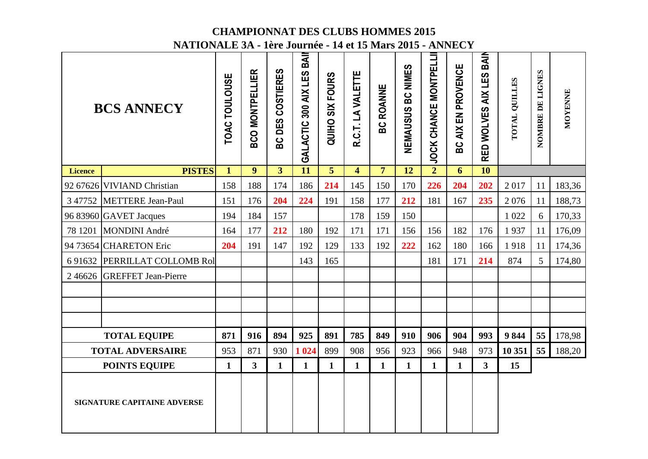|                | NATIONALE 5A - 1ere Journee - 14 et 15 Mars 2015 - ANNECY |                      |                        |                         |                              |                        |                         |                  |                             |                                 |                        |                            |               |                  |         |
|----------------|-----------------------------------------------------------|----------------------|------------------------|-------------------------|------------------------------|------------------------|-------------------------|------------------|-----------------------------|---------------------------------|------------------------|----------------------------|---------------|------------------|---------|
|                | <b>BCS ANNECY</b>                                         | <b>TOAC TOULOUSE</b> | <b>BCO MONTPELLIER</b> | COSTIERES<br>DES<br>ပ္က | BAII<br>GALACTIC 300 AIX LES | <b>QUIHO SIX FOURS</b> | R.C.T. LA VALETTE       | <b>BC ROANNE</b> | <b>BC NIMES</b><br>NEMAUSUS | CHANCE MONTPELLI<br><b>JOCK</b> | AIX EN PROVENCE<br>မ္ထ | BAIN<br>RED WOLVES AIX LES | TOTAL QUILLES | NOMBRE DE LIGNES | MOYENNE |
| <b>Licence</b> | <b>PISTES</b>                                             | $\mathbf{1}$         | $\boldsymbol{9}$       | $\overline{3}$          | $\overline{11}$              | $\overline{5}$         | $\overline{\mathbf{4}}$ | 7 <sup>1</sup>   | 12                          | $\overline{2}$                  | 6                      | $\overline{10}$            |               |                  |         |
|                | 92 67626 VIVIAND Christian                                | 158                  | 188                    | 174                     | 186                          | 214                    | 145                     | 150              | 170                         | 226                             | 204                    | 202                        | 2017          | 11               | 183,36  |
|                | 3 47752 METTERE Jean-Paul                                 | 151                  | 176                    | 204                     | 224                          | 191                    | 158                     | 177              | 212                         | 181                             | 167                    | 235                        | 2076          | 11               | 188,73  |
|                | 96 83960 GAVET Jacques                                    | 194                  | 184                    | 157                     |                              |                        | 178                     | 159              | 150                         |                                 |                        |                            | 1 0 2 2       | 6                | 170,33  |
|                | 78 1201 MONDINI André                                     | 164                  | 177                    | 212                     | 180                          | 192                    | 171                     | 171              | 156                         | 156                             | 182                    | 176                        | 1937          | 11               | 176,09  |
|                | 94 73654 CHARETON Eric                                    | 204                  | 191                    | 147                     | 192                          | 129                    | 133                     | 192              | 222                         | 162                             | 180                    | 166                        | 1918          | 11               | 174,36  |
|                | 6 91632 PERRILLAT COLLOMB Rol                             |                      |                        |                         | 143                          | 165                    |                         |                  |                             | 181                             | 171                    | 214                        | 874           | $5\overline{)}$  | 174,80  |
|                | 2 46626 GREFFET Jean-Pierre                               |                      |                        |                         |                              |                        |                         |                  |                             |                                 |                        |                            |               |                  |         |
|                |                                                           |                      |                        |                         |                              |                        |                         |                  |                             |                                 |                        |                            |               |                  |         |
|                |                                                           |                      |                        |                         |                              |                        |                         |                  |                             |                                 |                        |                            |               |                  |         |
|                |                                                           |                      |                        |                         |                              |                        |                         |                  |                             |                                 |                        |                            |               |                  |         |
|                | <b>TOTAL EQUIPE</b>                                       | 871                  | 916                    | 894                     | 925                          | 891                    | 785                     | 849              | 910                         | 906                             | 904                    | 993                        | 9844          | 55               | 178,98  |
|                | <b>TOTAL ADVERSAIRE</b>                                   | 953                  | 871                    | 930                     | 1 0 24                       | 899                    | 908                     | 956              | 923                         | 966                             | 948                    | 973                        | 10 351        | 55               | 188,20  |
|                | <b>POINTS EQUIPE</b>                                      | $\mathbf{1}$         | $\overline{3}$         | $\mathbf{1}$            | $\mathbf{1}$                 | $\mathbf{1}$           | $\mathbf{1}$            | $\mathbf{1}$     | $\mathbf{1}$                | $\mathbf{1}$                    | $\mathbf{1}$           | $\overline{\mathbf{3}}$    | 15            |                  |         |
|                | SIGNATURE CAPITAINE ADVERSE                               |                      |                        |                         |                              |                        |                         |                  |                             |                                 |                        |                            |               |                  |         |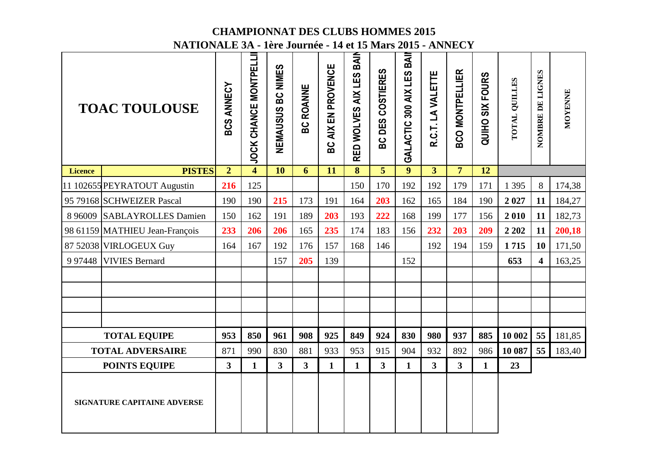|                | NATIONALE 5A - 1ere Journee - 14 et 15 Mars 2015 - ANNECY |                |                              |                      |                  |                    |                         |                  |                              |                   |                         |                 |               |                         |         |
|----------------|-----------------------------------------------------------|----------------|------------------------------|----------------------|------------------|--------------------|-------------------------|------------------|------------------------------|-------------------|-------------------------|-----------------|---------------|-------------------------|---------|
|                | <b>TOAC TOULOUSE</b>                                      | ANNECY<br>BCS  | <b>JOCK CHANCE MONTPELLI</b> | BC NIMES<br>NEMAUSUS | <b>BC ROANNE</b> | BC AIX EN PROVENCE | RED WOLVES AIX LES BAIN | BC DES COSTIERES | BAII<br>GALACTIC 300 AIX LES | R.C.T. LA VALETTE | <b>BCO MONTPELLIER</b>  | QUIHO SIX FOURS | TOTAL QUILLES | NOMBRE DE LIGNES        | MOYENNE |
| <b>Licence</b> | <b>PISTES</b>                                             | $\overline{2}$ | $\overline{\mathbf{4}}$      | $\overline{10}$      | 6                | 11                 | $\overline{\mathbf{8}}$ | $\overline{5}$   | $\boldsymbol{9}$             | $\overline{3}$    | $\overline{7}$          | 12              |               |                         |         |
|                | 11 102655 PEYRATOUT Augustin                              | 216            | 125                          |                      |                  |                    | 150                     | 170              | 192                          | 192               | 179                     | 171             | 1 3 9 5       | 8                       | 174,38  |
|                | 95 79168 SCHWEIZER Pascal                                 | 190            | 190                          | 215                  | 173              | 191                | 164                     | 203              | 162                          | 165               | 184                     | 190             | 2027          | 11                      | 184,27  |
|                | 8 96009 SABLAYROLLES Damien                               | 150            | 162                          | 191                  | 189              | 203                | 193                     | 222              | 168                          | 199               | 177                     | 156             | 2010          | 11                      | 182,73  |
|                | 98 61159 MATHIEU Jean-François                            | 233            | 206                          | 206                  | 165              | 235                | 174                     | 183              | 156                          | 232               | 203                     | 209             | 2 2 0 2       | 11                      | 200,18  |
|                | 87 52038 VIRLOGEUX Guy                                    | 164            | 167                          | 192                  | 176              | 157                | 168                     | 146              |                              | 192               | 194                     | 159             | 1715          | <b>10</b>               | 171,50  |
|                | 997448 VIVIES Bernard                                     |                |                              | 157                  | 205              | 139                |                         |                  | 152                          |                   |                         |                 | 653           | $\overline{\mathbf{4}}$ | 163,25  |
|                |                                                           |                |                              |                      |                  |                    |                         |                  |                              |                   |                         |                 |               |                         |         |
|                |                                                           |                |                              |                      |                  |                    |                         |                  |                              |                   |                         |                 |               |                         |         |
|                |                                                           |                |                              |                      |                  |                    |                         |                  |                              |                   |                         |                 |               |                         |         |
|                |                                                           |                |                              |                      |                  |                    |                         |                  |                              |                   |                         |                 |               |                         |         |
|                | <b>TOTAL EQUIPE</b>                                       | 953            | 850                          | 961                  | 908              | 925                | 849                     | 924              | 830                          | 980               | 937                     | 885             | 10 002        | 55                      | 181,85  |
|                | <b>TOTAL ADVERSAIRE</b>                                   | 871            | 990                          | 830                  | 881              | 933                | 953                     | 915              | 904                          | 932               | 892                     | 986             | 10 087        | 55                      | 183,40  |
|                | <b>POINTS EQUIPE</b>                                      | $\mathbf{3}$   | $\mathbf{1}$                 | $\overline{3}$       | $3^{\circ}$      | $\mathbf{1}$       | $\mathbf{1}$            | $\mathbf{3}$     | $\mathbf{1}$                 | 3 <sup>1</sup>    | $\overline{\mathbf{3}}$ | $\mathbf{1}$    | 23            |                         |         |
|                | <b>SIGNATURE CAPITAINE ADVERSE</b>                        |                |                              |                      |                  |                    |                         |                  |                              |                   |                         |                 |               |                         |         |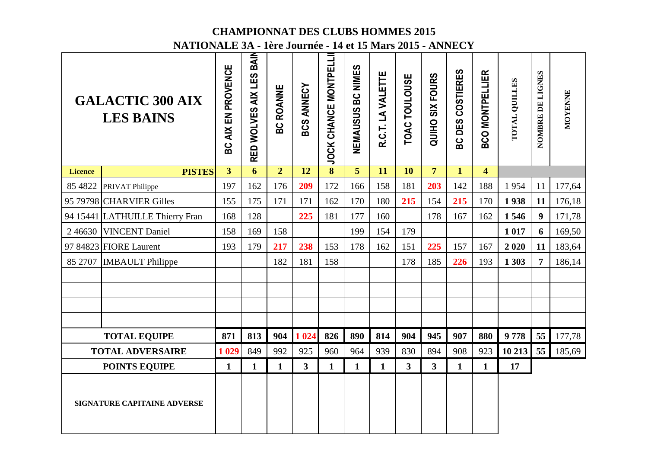|                | NATIONALE 5A - 1ere Journee - 14 et 15 Mars 2015 - ANNECY |                             |                            |                      |                   |                              |                   |                   |               |                           |                  |                         |               |                  |         |
|----------------|-----------------------------------------------------------|-----------------------------|----------------------------|----------------------|-------------------|------------------------------|-------------------|-------------------|---------------|---------------------------|------------------|-------------------------|---------------|------------------|---------|
|                | <b>GALACTIC 300 AIX</b><br><b>LES BAINS</b>               | AIX EN PROVENCE<br><u>မ</u> | BAIN<br>RED WOLVES AIX LES | <b>ROANNE</b><br>မ္ထ | <b>BCS ANNECY</b> | <b>JOCK CHANCE MONTPELLI</b> | NEMAUSUS BC NIMES | R.C.T. LA VALETTE | TOAC TOULOUSE | <b>SIX FOURS</b><br>QUIHO | BC DES COSTIERES | <b>BCO MONTPELLIER</b>  | TOTAL QUILLES | NOMBRE DE LIGNES | MOYENNE |
| <b>Licence</b> | <b>PISTES</b>                                             | $\overline{3}$              | 6                          | $\overline{2}$       | $\overline{12}$   | $\overline{\mathbf{8}}$      | $\overline{5}$    | 11                | 10            | $\overline{7}$            | $\mathbf{1}$     | $\overline{\mathbf{4}}$ |               |                  |         |
|                | 85 4822 PRIVAT Philippe                                   | 197                         | 162                        | 176                  | 209               | 172                          | 166               | 158               | 181           | 203                       | 142              | 188                     | 1954          | 11               | 177,64  |
|                | 95 79798 CHARVIER Gilles                                  | 155                         | 175                        | 171                  | 171               | 162                          | 170               | 180               | 215           | 154                       | 215              | 170                     | 1938          | 11               | 176,18  |
|                | 94 15441 LATHUILLE Thierry Fran                           | 168                         | 128                        |                      | 225               | 181                          | 177               | 160               |               | 178                       | 167              | 162                     | 1546          | $\boldsymbol{9}$ | 171,78  |
| 246630         | <b>VINCENT Daniel</b>                                     | 158                         | 169                        | 158                  |                   |                              | 199               | 154               | 179           |                           |                  |                         | 1 0 1 7       | 6                | 169,50  |
|                | 97 84823 FIORE Laurent                                    | 193                         | 179                        | 217                  | 238               | 153                          | 178               | 162               | 151           | 225                       | 157              | 167                     | 2020          | 11               | 183,64  |
|                | 85 2707   IMBAULT Philippe                                |                             |                            | 182                  | 181               | 158                          |                   |                   | 178           | 185                       | 226              | 193                     | 1 3 0 3       | $\overline{7}$   | 186,14  |
|                |                                                           |                             |                            |                      |                   |                              |                   |                   |               |                           |                  |                         |               |                  |         |
|                |                                                           |                             |                            |                      |                   |                              |                   |                   |               |                           |                  |                         |               |                  |         |
|                |                                                           |                             |                            |                      |                   |                              |                   |                   |               |                           |                  |                         |               |                  |         |
|                |                                                           |                             |                            |                      |                   |                              |                   |                   |               |                           |                  |                         |               |                  |         |
|                | <b>TOTAL EQUIPE</b>                                       | 871                         | 813                        | 904                  | 1 0 24            | 826                          | 890               | 814               | 904           | 945                       | 907              | 880                     | 9778          | 55               | 177,78  |
|                | <b>TOTAL ADVERSAIRE</b>                                   | 1 0 29                      | 849                        | 992                  | 925               | 960                          | 964               | 939               | 830           | 894                       | 908              | 923                     | 10 213        | 55               | 185,69  |
|                | <b>POINTS EQUIPE</b>                                      | $\mathbf{1}$                | $\mathbf{1}$               | $\mathbf{1}$         | $3^{\circ}$       | $\mathbf{1}$                 | $\mathbf{1}$      | $\mathbf{1}$      | $\mathbf{3}$  | 3 <sup>1</sup>            | $\mathbf{1}$     | $\mathbf{1}$            | 17            |                  |         |
|                | <b>SIGNATURE CAPITAINE ADVERSE</b>                        |                             |                            |                      |                   |                              |                   |                   |               |                           |                  |                         |               |                  |         |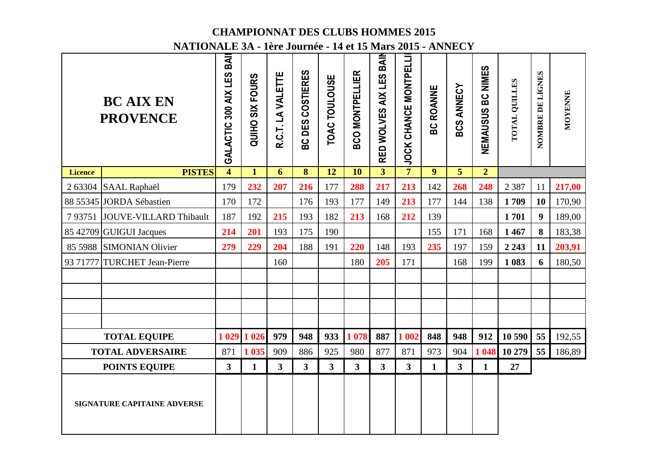|                | NATIONALE 3A - 1ère Journée - 14 et 15 Mars 2015 - ANNECY |                              |                 |                         |                         |                         |                        |                            |                         |                  |                           |                   |               |                  |                |
|----------------|-----------------------------------------------------------|------------------------------|-----------------|-------------------------|-------------------------|-------------------------|------------------------|----------------------------|-------------------------|------------------|---------------------------|-------------------|---------------|------------------|----------------|
|                | <b>BC AIX EN</b><br><b>PROVENCE</b>                       | BAII<br>GALACTIC 300 AIX LES | QUIHO SIX FOURS | R.C.T. LA VALETTE       | BC DES COSTIERES        | TOAC TOULOUSE           | <b>BCO MONTPELLIER</b> | BAIN<br>RED WOLVES AIX LES | JOCK CHANCE MONTPELLI   | <b>BC ROANNE</b> | <b>BCS ANNECY</b>         | NEMAUSUS BC NIMES | TOTAL QUILLES | NOMBRE DE LIGNES | <b>MOYENNE</b> |
| <b>Licence</b> | <b>PISTES</b>                                             | $\overline{\mathbf{4}}$      | $\mathbf{1}$    | 6                       | $\overline{\mathbf{8}}$ | $\overline{12}$         | $\overline{10}$        | $\overline{3}$             | $\overline{7}$          | $\overline{9}$   | $\overline{\overline{5}}$ | $\overline{2}$    |               |                  |                |
|                | 2 63304 SAAL Raphaël                                      | 179                          | 232             | 207                     | 216                     | 177                     | 288                    | 217                        | 213                     | 142              | 268                       | 248               | 2 3 8 7       | 11               | 217,00         |
|                | 88 55345 JORDA Sébastien                                  | 170                          | 172             |                         | 176                     | 193                     | 177                    | 149                        | 213                     | 177              | 144                       | 138               | 1709          | 10               | 170,90         |
|                | 7 93751 JOUVE-VILLARD Thibault                            | 187                          | 192             | 215                     | 193                     | 182                     | 213                    | 168                        | 212                     | 139              |                           |                   | 1701          | 9                | 189,00         |
|                | 85 42709 GUIGUI Jacques                                   | 214                          | 201             | 193                     | 175                     | 190                     |                        |                            |                         | 155              | 171                       | 168               | 1467          | 8                | 183,38         |
|                | 85 5988 SIMONIAN Olivier                                  | 279                          | 229             | 204                     | 188                     | 191                     | 220                    | 148                        | 193                     | 235              | 197                       | 159               | 2 2 4 3       | 11               | 203,91         |
| 93 71777       | <b>TURCHET Jean-Pierre</b>                                |                              |                 | 160                     |                         |                         | 180                    | 205                        | 171                     |                  | 168                       | 199               | 1 0 8 3       | 6                | 180,50         |
|                |                                                           |                              |                 |                         |                         |                         |                        |                            |                         |                  |                           |                   |               |                  |                |
|                |                                                           |                              |                 |                         |                         |                         |                        |                            |                         |                  |                           |                   |               |                  |                |
|                |                                                           |                              |                 |                         |                         |                         |                        |                            |                         |                  |                           |                   |               |                  |                |
|                |                                                           |                              |                 |                         |                         |                         |                        |                            |                         |                  |                           |                   |               |                  |                |
|                | <b>TOTAL EQUIPE</b>                                       | 1 0 29                       | 1 0 2 6         | 979                     | 948                     | 933                     | 1 0 78                 | 887                        | 1 002                   | 848              | 948                       | 912               | 10 590        | 55               | 192,55         |
|                | <b>TOTAL ADVERSAIRE</b>                                   | 871                          | 1 0 35          | 909                     | 886                     | 925                     | 980                    | 877                        | 871                     | 973              | 904                       | 1 048             | 10 279        | 55               | 186,89         |
|                | <b>POINTS EQUIPE</b>                                      | $\mathbf{3}$                 | $\mathbf{1}$    | $\overline{\mathbf{3}}$ | 3                       | $\overline{\mathbf{3}}$ | 3 <sup>1</sup>         | $\mathbf{3}$               | $\overline{\mathbf{3}}$ | $\mathbf{1}$     | $\mathbf{3}$              | $\mathbf{1}$      | 27            |                  |                |
|                | <b>SIGNATURE CAPITAINE ADVERSE</b>                        |                              |                 |                         |                         |                         |                        |                            |                         |                  |                           |                   |               |                  |                |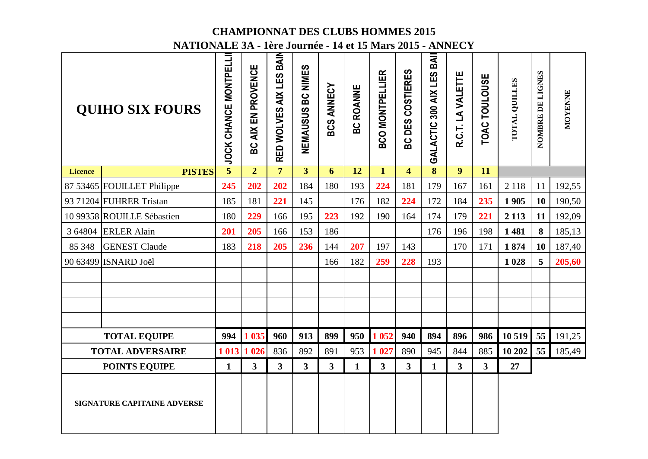|                | NATIONALE 3A - 1ère Journée - 14 et 15 Mars 2015 - ANNECY |                              |                         |                                         |                   |                         |                  |                        |                            |                                       |                   |                         |               |                  |                |
|----------------|-----------------------------------------------------------|------------------------------|-------------------------|-----------------------------------------|-------------------|-------------------------|------------------|------------------------|----------------------------|---------------------------------------|-------------------|-------------------------|---------------|------------------|----------------|
|                | <b>QUIHO SIX FOURS</b>                                    | <b>JOCK CHANCE MONTPELLI</b> | AIX EN PROVENCE<br>ပ္က  | BAIN<br>LES<br><b>AIX</b><br>RED WOLVES | NEMAUSUS BC NIMES | <b>BCS ANNECY</b>       | <b>BC ROANNE</b> | <b>BCO MONTPELLIER</b> | DES COSTIERES<br><u>င်</u> | BAI<br><b>LES</b><br>GALACTIC 300 AIX | R.C.T. LA VALETTE | TOAC TOULOUSE           | TOTAL QUILLES | NOMBRE DE LIGNES | <b>MOYENNE</b> |
| <b>Licence</b> | <b>PISTES</b>                                             | $\overline{5}$               | $\overline{2}$          | $\overline{7}$                          | $\overline{3}$    | 6                       | $\overline{12}$  | $\overline{1}$         | $\overline{4}$             | $\overline{\mathbf{8}}$               | $\overline{9}$    | $\overline{11}$         |               |                  |                |
|                | 87 53465 FOUILLET Philippe                                | 245                          | 202                     | 202                                     | 184               | 180                     | 193              | 224                    | 181                        | 179                                   | 167               | 161                     | 2 1 1 8       | 11               | 192,55         |
|                | 93 71204 FUHRER Tristan                                   | 185                          | 181                     | 221                                     | 145               |                         | 176              | 182                    | 224                        | 172                                   | 184               | 235                     | 1905          | 10               | 190,50         |
|                | 10 99358 ROUILLE Sébastien                                | 180                          | 229                     | 166                                     | 195               | 223                     | 192              | 190                    | 164                        | 174                                   | 179               | 221                     | 2 1 1 3       | 11               | 192,09         |
|                | 3 64804 ERLER Alain                                       | 201                          | 205                     | 166                                     | 153               | 186                     |                  |                        |                            | 176                                   | 196               | 198                     | 1481          | 8                | 185,13         |
| 85 348         | <b>GENEST Claude</b>                                      | 183                          | 218                     | 205                                     | 236               | 144                     | 207              | 197                    | 143                        |                                       | 170               | 171                     | 1874          | 10               | 187,40         |
|                | 90 63499 ISNARD Joël                                      |                              |                         |                                         |                   | 166                     | 182              | 259                    | 228                        | 193                                   |                   |                         | 1028          | 5                | 205,60         |
|                |                                                           |                              |                         |                                         |                   |                         |                  |                        |                            |                                       |                   |                         |               |                  |                |
|                |                                                           |                              |                         |                                         |                   |                         |                  |                        |                            |                                       |                   |                         |               |                  |                |
|                |                                                           |                              |                         |                                         |                   |                         |                  |                        |                            |                                       |                   |                         |               |                  |                |
|                |                                                           |                              |                         |                                         |                   |                         |                  |                        |                            |                                       |                   |                         |               |                  |                |
|                | <b>TOTAL EQUIPE</b>                                       | 994                          | 1 0 35                  | 960                                     | 913               | 899                     | 950              | 1 0 5 2                | 940                        | 894                                   | 896               | 986                     | 10 519        | 55               | 191,25         |
|                | <b>TOTAL ADVERSAIRE</b>                                   |                              | 1 013 1 026             | 836                                     | 892               | 891                     | 953              | 1 0 27                 | 890                        | 945                                   | 844               | 885                     | 10 20 2       | 55               | 185,49         |
|                | <b>POINTS EQUIPE</b>                                      | $\mathbf{1}$                 | $\overline{\mathbf{3}}$ | $\overline{\mathbf{3}}$                 | 3 <sup>1</sup>    | $\overline{\mathbf{3}}$ | $\mathbf{1}$     | $\mathbf{3}$           | $\mathbf{3}$               | $\mathbf{1}$                          | $\mathbf{3}$      | $\overline{\mathbf{3}}$ | 27            |                  |                |
|                | SIGNATURE CAPITAINE ADVERSE                               |                              |                         |                                         |                   |                         |                  |                        |                            |                                       |                   |                         |               |                  |                |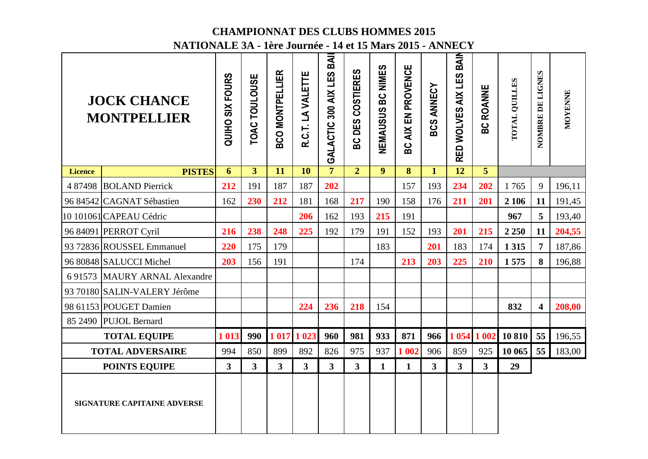|                | <u> NATIONALE 5A - IEFE JOUFNEE - 14 EL 15 MAIS 2015 - ANNEC 1</u><br><b>JOCK CHANCE</b><br><b>MONTPELLIER</b> | <b>QUIHO SIX FOURS</b> | TOAC TOULOUSE   | <b>BCO MONTPELLIER</b> | R.C.T. LA VALETTE | BAII<br>GALACTIC 300 AIX LES | DES COSTIERES  | NEMAUSUS BC NIMES | AIX EN PROVENCE | <b>BCS ANNECY</b> | RED WOLVES AIX LES BAIN | <b>BC ROANNE</b>        | TOTAL QUILLES | NOMBRE DE LIGNES        | MOYENNE |
|----------------|----------------------------------------------------------------------------------------------------------------|------------------------|-----------------|------------------------|-------------------|------------------------------|----------------|-------------------|-----------------|-------------------|-------------------------|-------------------------|---------------|-------------------------|---------|
|                |                                                                                                                |                        |                 |                        |                   |                              | မိ             |                   | <u>င်</u>       |                   |                         |                         |               |                         |         |
| <b>Licence</b> | <b>PISTES</b>                                                                                                  | 6                      | $3\overline{)}$ | 11                     | 10                | $\overline{7}$               | $\overline{2}$ | $\boldsymbol{9}$  | 8               | $\mathbf{1}$      | $\overline{12}$         | $\overline{5}$          |               |                         |         |
|                | 4 87498 BOLAND Pierrick                                                                                        | 212                    | 191             | 187                    | 187               | 202                          |                |                   | 157             | 193               | 234                     | 202                     | 1765          | 9                       | 196,11  |
|                | 96 84542 CAGNAT Sébastien                                                                                      | 162                    | 230             | 212                    | 181               | 168                          | 217            | 190               | 158             | 176               | 211                     | 201                     | 2 10 6        | 11                      | 191,45  |
|                | 10 101061 CAPEAU Cédric                                                                                        |                        |                 |                        | 206               | 162                          | 193            | 215               | 191             |                   |                         |                         | 967           | 5                       | 193,40  |
|                | 96 84091 PERROT Cyril                                                                                          | 216                    | 238             | 248                    | 225               | 192                          | 179            | 191               | 152             | 193               | 201                     | 215                     | 2 2 5 0       | 11                      | 204,55  |
|                | 93 72836 ROUSSEL Emmanuel                                                                                      | 220                    | 175             | 179                    |                   |                              |                | 183               |                 | 201               | 183                     | 174                     | 1 3 1 5       | $\overline{7}$          | 187,86  |
|                | 96 80848 SALUCCI Michel                                                                                        | 203                    | 156             | 191                    |                   |                              | 174            |                   | 213             | 203               | 225                     | 210                     | 1575          | 8                       | 196,88  |
|                | 6 91573 MAURY ARNAL Alexandre                                                                                  |                        |                 |                        |                   |                              |                |                   |                 |                   |                         |                         |               |                         |         |
|                | 93 70180 SALIN-VALERY Jérôme                                                                                   |                        |                 |                        |                   |                              |                |                   |                 |                   |                         |                         |               |                         |         |
|                | 98 61153 POUGET Damien                                                                                         |                        |                 |                        | 224               | 236                          | 218            | 154               |                 |                   |                         |                         | 832           | $\overline{\mathbf{4}}$ | 208,00  |
|                | 85 2490 PUJOL Bernard                                                                                          |                        |                 |                        |                   |                              |                |                   |                 |                   |                         |                         |               |                         |         |
|                | <b>TOTAL EQUIPE</b>                                                                                            | 1 0 13                 | 990             |                        | 1 017 1 023       | 960                          | 981            | 933               | 871             | 966               | 1 0 5 4                 | 1 002                   | 10810         | 55                      | 196,55  |
|                | <b>TOTAL ADVERSAIRE</b>                                                                                        | 994                    | 850             | 899                    | 892               | 826                          | 975            | 937               | 1 002           | 906               | 859                     | 925                     | 10 065        | 55                      | 183,00  |
|                | <b>POINTS EQUIPE</b>                                                                                           | $3^{\circ}$            | $\overline{3}$  | $3^{\circ}$            | $3^{\circ}$       | $\overline{3}$               | $\mathbf{3}$   | $\mathbf{1}$      | $\mathbf{1}$    | 3 <sup>1</sup>    | $\overline{\mathbf{3}}$ | $\overline{\mathbf{3}}$ | 29            |                         |         |
|                | <b>SIGNATURE CAPITAINE ADVERSE</b>                                                                             |                        |                 |                        |                   |                              |                |                   |                 |                   |                         |                         |               |                         |         |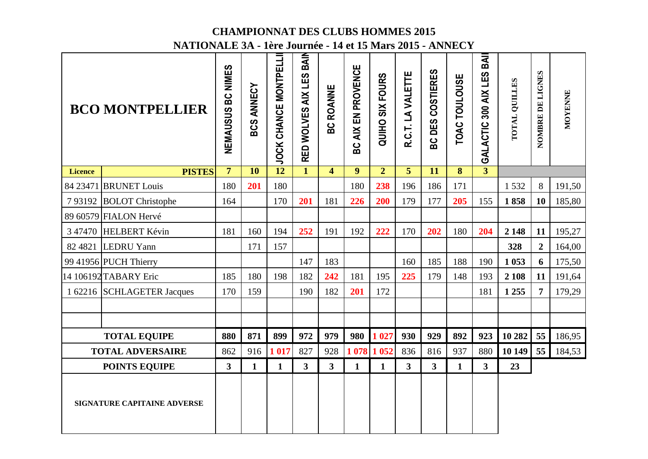|                | NATIONALE 5A - 1ere Journee - 14 et 15 Mars 2015 - ANNECY |                             |                   |                                 |                            |                         |                    |                        |                         |                         |               |                              |                      |                  |         |
|----------------|-----------------------------------------------------------|-----------------------------|-------------------|---------------------------------|----------------------------|-------------------------|--------------------|------------------------|-------------------------|-------------------------|---------------|------------------------------|----------------------|------------------|---------|
|                | <b>BCO MONTPELLIER</b>                                    | <b>BC NIMES</b><br>NEMAUSUS | <b>BCS ANNECY</b> | <b>MONTPELLI</b><br>JOCK CHANCE | BAIN<br>RED WOLVES AIX LES | <b>BC ROANNE</b>        | BC AIX EN PROVENCE | <b>QUIHO SIX FOURS</b> | R.C.T. LA VALETTE       | COSTIERES<br>DES<br>ပ္က | TOAC TOULOUSE | BAII<br>GALACTIC 300 AIX LES | <b>TOTAL QUILLES</b> | NOMBRE DE LIGNES | MOYENNE |
| <b>Licence</b> | <b>PISTES</b>                                             | 7 <sup>1</sup>              | 10                | $\overline{12}$                 | $\mathbf{1}$               | $\overline{\mathbf{4}}$ | $\overline{9}$     | $\overline{2}$         | 5                       | 11                      | 8             | $\overline{3}$               |                      |                  |         |
|                | 84 23471 BRUNET Louis                                     | 180                         | 201               | 180                             |                            |                         | 180                | 238                    | 196                     | 186                     | 171           |                              | 1532                 | 8                | 191,50  |
| 793192         | <b>BOLOT</b> Christophe                                   | 164                         |                   | 170                             | 201                        | 181                     | 226                | 200                    | 179                     | 177                     | 205           | 155                          | 1858                 | 10               | 185,80  |
|                | 89 60579 FIALON Hervé                                     |                             |                   |                                 |                            |                         |                    |                        |                         |                         |               |                              |                      |                  |         |
| 3 47470        | <b>HELBERT Kévin</b>                                      | 181                         | 160               | 194                             | 252                        | 191                     | 192                | 222                    | 170                     | 202                     | 180           | 204                          | 2 1 4 8              | 11               | 195,27  |
|                | 82 4821 LEDRU Yann                                        |                             | 171               | 157                             |                            |                         |                    |                        |                         |                         |               |                              | 328                  | $\overline{2}$   | 164,00  |
|                | 99 41956 PUCH Thierry                                     |                             |                   |                                 | 147                        | 183                     |                    |                        | 160                     | 185                     | 188           | 190                          | 1 0 5 3              | 6                | 175,50  |
|                | 14 106192 TABARY Eric                                     | 185                         | 180               | 198                             | 182                        | 242                     | 181                | 195                    | 225                     | 179                     | 148           | 193                          | 2 1 0 8              | 11               | 191,64  |
|                | 1 62216 SCHLAGETER Jacques                                | 170                         | 159               |                                 | 190                        | 182                     | 201                | 172                    |                         |                         |               | 181                          | 1 2 5 5              | $\overline{7}$   | 179,29  |
|                |                                                           |                             |                   |                                 |                            |                         |                    |                        |                         |                         |               |                              |                      |                  |         |
|                |                                                           |                             |                   |                                 |                            |                         |                    |                        |                         |                         |               |                              |                      |                  |         |
|                | <b>TOTAL EQUIPE</b>                                       | 880                         | 871               | 899                             | 972                        | 979                     | 980                | 1 0 2 7                | 930                     | 929                     | 892           | 923                          | 10 282               | 55               | 186,95  |
|                | <b>TOTAL ADVERSAIRE</b>                                   | 862                         | 916               | 1 0 1 7                         | 827                        | 928                     |                    | 1 078 1 052            | 836                     | 816                     | 937           | 880                          | 10 149               | 55               | 184,53  |
|                | <b>POINTS EQUIPE</b>                                      | 3 <sup>1</sup>              | $\mathbf{1}$      | $\mathbf{1}$                    | 3 <sup>1</sup>             | $\overline{\mathbf{3}}$ | $\mathbf{1}$       | $\mathbf{1}$           | $\overline{\mathbf{3}}$ | 3 <sup>1</sup>          | $\mathbf{1}$  | $\overline{\mathbf{3}}$      | 23                   |                  |         |
|                | <b>SIGNATURE CAPITAINE ADVERSE</b>                        |                             |                   |                                 |                            |                         |                    |                        |                         |                         |               |                              |                      |                  |         |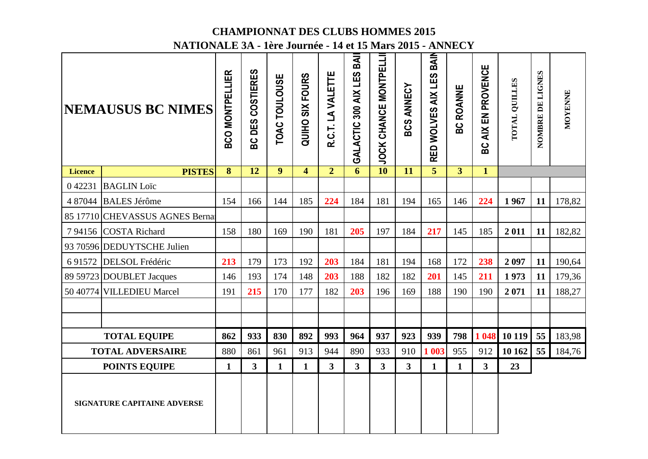|                | NATIONALE 5A - 1ere Journee - 14 et 15 Mars 2015 - ANNECY |                        |                                      |                  |                         |                         |                              |                             |                         |                            |                  |                         |               |                  |         |
|----------------|-----------------------------------------------------------|------------------------|--------------------------------------|------------------|-------------------------|-------------------------|------------------------------|-----------------------------|-------------------------|----------------------------|------------------|-------------------------|---------------|------------------|---------|
|                | <b>NEMAUSUS BC NIMES</b>                                  | <b>BCO MONTPELLIER</b> | <b>COSTIERES</b><br><b>DES</b><br>မိ | TOAC TOULOUSE    | <b>QUIHO SIX FOURS</b>  | R.C.T. LA VALETTE       | BAII<br>GALACTIC 300 AIX LES | <b>JOCK CHANCE MONTPELL</b> | <b>BCS ANNECY</b>       | BAIN<br>RED WOLVES AIX LES | <b>BC ROANNE</b> | BC AIX EN PROVENCE      | TOTAL QUILLES | NOMBRE DE LIGNES | MOYENNE |
| <b>Licence</b> | <b>PISTES</b>                                             | 8                      | 12                                   | $\boldsymbol{9}$ | $\overline{\mathbf{4}}$ | $\overline{2}$          | 6                            | 10                          | 11                      | $\overline{5}$             | 3                | $\mathbf{1}$            |               |                  |         |
| 042231         | <b>BAGLIN</b> Loïc                                        |                        |                                      |                  |                         |                         |                              |                             |                         |                            |                  |                         |               |                  |         |
|                | 4 87044 BALES Jérôme                                      | 154                    | 166                                  | 144              | 185                     | 224                     | 184                          | 181                         | 194                     | 165                        | 146              | 224                     | 1967          | 11               | 178,82  |
|                | 85 17710 CHEVASSUS AGNES Berna                            |                        |                                      |                  |                         |                         |                              |                             |                         |                            |                  |                         |               |                  |         |
| 794156         | <b>COSTA Richard</b>                                      | 158                    | 180                                  | 169              | 190                     | 181                     | 205                          | 197                         | 184                     | 217                        | 145              | 185                     | 2011          | 11               | 182,82  |
|                | 93 70596 DEDUYTSCHE Julien                                |                        |                                      |                  |                         |                         |                              |                             |                         |                            |                  |                         |               |                  |         |
|                | 6 91572 DELSOL Frédéric                                   | 213                    | 179                                  | 173              | 192                     | 203                     | 184                          | 181                         | 194                     | 168                        | 172              | 238                     | 2097          | 11               | 190,64  |
|                | 89 59723 DOUBLET Jacques                                  | 146                    | 193                                  | 174              | 148                     | 203                     | 188                          | 182                         | 182                     | 201                        | 145              | 211                     | 1973          | 11               | 179,36  |
|                | 50 40774 VILLEDIEU Marcel                                 | 191                    | 215                                  | 170              | 177                     | 182                     | 203                          | 196                         | 169                     | 188                        | 190              | 190                     | 2071          | 11               | 188,27  |
|                |                                                           |                        |                                      |                  |                         |                         |                              |                             |                         |                            |                  |                         |               |                  |         |
|                |                                                           |                        |                                      |                  |                         |                         |                              |                             |                         |                            |                  |                         |               |                  |         |
|                | <b>TOTAL EQUIPE</b>                                       | 862                    | 933                                  | 830              | 892                     | 993                     | 964                          | 937                         | 923                     | 939                        | 798              | 1 048                   | 10 119        | 55               | 183,98  |
|                | <b>TOTAL ADVERSAIRE</b>                                   | 880                    | 861                                  | 961              | 913                     | 944                     | 890                          | 933                         | 910                     | 1 003                      | 955              | 912                     | 10 162        | 55               | 184,76  |
|                | <b>POINTS EQUIPE</b>                                      | $\mathbf{1}$           | $\overline{\mathbf{3}}$              | $\mathbf{1}$     | $\mathbf{1}$            | $\overline{\mathbf{3}}$ | 3 <sup>1</sup>               | $\overline{\mathbf{3}}$     | $\overline{\mathbf{3}}$ | $\mathbf{1}$               | $\mathbf{1}$     | $\overline{\mathbf{3}}$ | 23            |                  |         |
|                | <b>SIGNATURE CAPITAINE ADVERSE</b>                        |                        |                                      |                  |                         |                         |                              |                             |                         |                            |                  |                         |               |                  |         |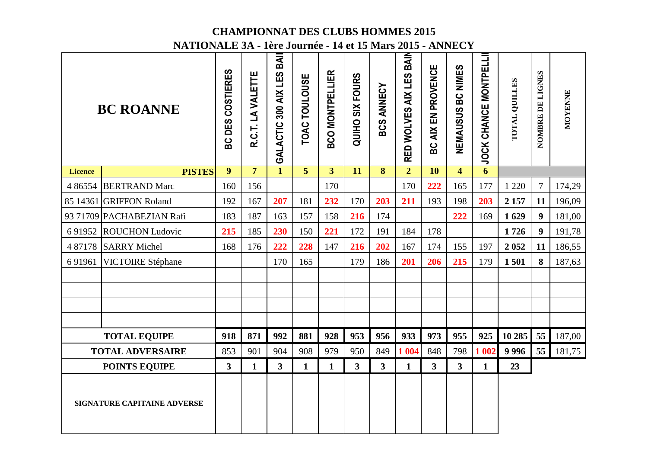|                | NATIONALE 5A - 1ere Journee - 14 et 15 Mars 2015 - ANNECY |                            |                   |                              |                         |                        |                        |                   |                            |                        |                         |                              |                      |                  |         |
|----------------|-----------------------------------------------------------|----------------------------|-------------------|------------------------------|-------------------------|------------------------|------------------------|-------------------|----------------------------|------------------------|-------------------------|------------------------------|----------------------|------------------|---------|
|                | <b>BC ROANNE</b>                                          | <b>COSTIERES</b><br>BC DES | R.C.T. LA VALETTE | BAII<br>GALACTIC 300 AIX LES | TOAC TOULOUSE           | <b>BCO MONTPELLIER</b> | <b>QUIHO SIX FOURS</b> | <b>BCS ANNECY</b> | BAIN<br>RED WOLVES AIX LES | AIX EN PROVENCE<br>ပ္က | NEMAUSUS BC NIMES       | <b>JOCK CHANCE MONTPELLI</b> | <b>TOTAL QUILLES</b> | NOMBRE DE LIGNES | MOYENNE |
| <b>Licence</b> | <b>PISTES</b>                                             | $\overline{9}$             | $\overline{7}$    | $\mathbf{1}$                 | $\overline{\mathbf{5}}$ | $\overline{3}$         | $\overline{11}$        | 8                 | $\overline{2}$             | $\overline{10}$        | $\overline{\mathbf{4}}$ | $\overline{6}$               |                      |                  |         |
|                | 4 86554 BERTRAND Marc                                     | 160                        | 156               |                              |                         | 170                    |                        |                   | 170                        | 222                    | 165                     | 177                          | 1 2 2 0              | $\tau$           | 174,29  |
|                | 85 14361 GRIFFON Roland                                   | 192                        | 167               | 207                          | 181                     | 232                    | 170                    | 203               | 211                        | 193                    | 198                     | 203                          | 2 1 5 7              | 11               | 196,09  |
|                | 93 71709 PACHABEZIAN Rafi                                 | 183                        | 187               | 163                          | 157                     | 158                    | 216                    | 174               |                            |                        | 222                     | 169                          | 1629                 | $\boldsymbol{9}$ | 181,00  |
| 6 9 1 9 5 2    | <b>ROUCHON Ludovic</b>                                    | 215                        | 185               | 230                          | 150                     | 221                    | 172                    | 191               | 184                        | 178                    |                         |                              | 1726                 | 9                | 191,78  |
|                | 4 87178 SARRY Michel                                      | 168                        | 176               | 222                          | 228                     | 147                    | 216                    | 202               | 167                        | 174                    | 155                     | 197                          | 2052                 | 11               | 186,55  |
| 6 9 1 9 6 1    | <b>VICTOIRE Stéphane</b>                                  |                            |                   | 170                          | 165                     |                        | 179                    | 186               | 201                        | 206                    | 215                     | 179                          | 1501                 | 8                | 187,63  |
|                |                                                           |                            |                   |                              |                         |                        |                        |                   |                            |                        |                         |                              |                      |                  |         |
|                |                                                           |                            |                   |                              |                         |                        |                        |                   |                            |                        |                         |                              |                      |                  |         |
|                |                                                           |                            |                   |                              |                         |                        |                        |                   |                            |                        |                         |                              |                      |                  |         |
|                |                                                           |                            |                   |                              |                         |                        |                        |                   |                            |                        |                         |                              |                      |                  |         |
|                | <b>TOTAL EQUIPE</b>                                       | 918                        | 871               | 992                          | 881                     | 928                    | 953                    | 956               | 933                        | 973                    | 955                     | 925                          | 10 285               | 55               | 187,00  |
|                | <b>TOTAL ADVERSAIRE</b>                                   | 853                        | 901               | 904                          | 908                     | 979                    | 950                    | 849               | 1 0 0 4                    | 848                    | 798                     | 1 002                        | 9996                 | 55               | 181,75  |
|                | <b>POINTS EQUIPE</b>                                      | $3^{\circ}$                | $\mathbf{1}$      | $\mathbf{3}$                 | $\mathbf{1}$            | $\mathbf{1}$           | $\overline{3}$         | $\mathbf{3}$      | $\mathbf{1}$               | 3 <sup>1</sup>         | $\overline{\mathbf{3}}$ | $\mathbf{1}$                 | 23                   |                  |         |
|                | <b>SIGNATURE CAPITAINE ADVERSE</b>                        |                            |                   |                              |                         |                        |                        |                   |                            |                        |                         |                              |                      |                  |         |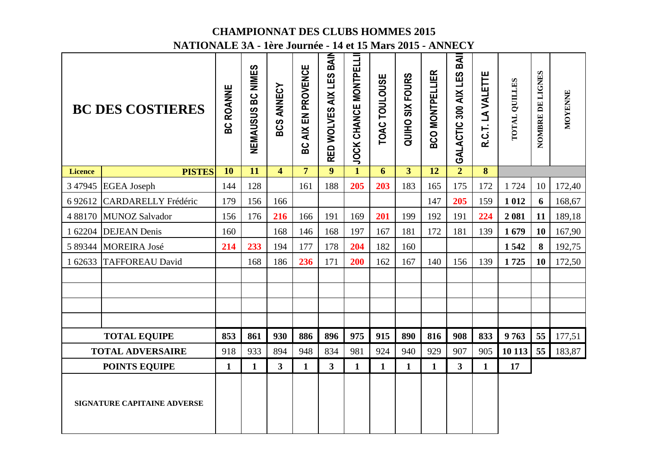|                | NATIONALE 5A - 1ere Journee - 14 et 15 mars 2015 - ANNECY |                  |                             |                         |                    |                         |                              |               |                         |                        |                          |                   |               |                  |         |
|----------------|-----------------------------------------------------------|------------------|-----------------------------|-------------------------|--------------------|-------------------------|------------------------------|---------------|-------------------------|------------------------|--------------------------|-------------------|---------------|------------------|---------|
|                | <b>BC DES COSTIERES</b>                                   | <b>BC ROANNE</b> | <b>BC NIMES</b><br>NEMAUSUS | <b>ANNECY</b><br>BCS    | BC AIX EN PROVENCE | RED WOLVES AIX LES BAIN | <b>JOCK CHANCE MONTPELLI</b> | TOAC TOULOUSE | QUIHO SIX FOURS         | <b>BCO MONTPELLIER</b> | GALACTIC 300 AIX LES BAI | R.C.T. LA VALETTE | TOTAL QUILLES | NOMBRE DE LIGNES | MOYENNE |
| <b>Licence</b> | <b>PISTES</b>                                             | 10               | 11                          | $\overline{\mathbf{4}}$ | $\overline{7}$     | 9                       | $\mathbf{1}$                 | 6             | $\overline{\mathbf{3}}$ | $\overline{12}$        | $\overline{2}$           | 8                 |               |                  |         |
|                | 3 47945 EGEA Joseph                                       | 144              | 128                         |                         | 161                | 188                     | 205                          | 203           | 183                     | 165                    | 175                      | 172               | 1724          | 10               | 172,40  |
| 692612         | <b>CARDARELLY Frédéric</b>                                | 179              | 156                         | 166                     |                    |                         |                              |               |                         | 147                    | 205                      | 159               | 1 0 1 2       | 6                | 168,67  |
|                | 4 88170 MUNOZ Salvador                                    | 156              | 176                         | 216                     | 166                | 191                     | 169                          | 201           | 199                     | 192                    | 191                      | 224               | 2081          | 11               | 189,18  |
|                | 1 62204 DEJEAN Denis                                      | 160              |                             | 168                     | 146                | 168                     | 197                          | 167           | 181                     | 172                    | 181                      | 139               | 1679          | 10               | 167,90  |
|                | 5 89344 MOREIRA José                                      | 214              | 233                         | 194                     | 177                | 178                     | 204                          | 182           | 160                     |                        |                          |                   | 1542          | 8                | 192,75  |
| 1 62633        | <b>TAFFOREAU David</b>                                    |                  | 168                         | 186                     | 236                | 171                     | 200                          | 162           | 167                     | 140                    | 156                      | 139               | 1725          | <b>10</b>        | 172,50  |
|                |                                                           |                  |                             |                         |                    |                         |                              |               |                         |                        |                          |                   |               |                  |         |
|                |                                                           |                  |                             |                         |                    |                         |                              |               |                         |                        |                          |                   |               |                  |         |
|                |                                                           |                  |                             |                         |                    |                         |                              |               |                         |                        |                          |                   |               |                  |         |
|                |                                                           |                  |                             |                         |                    |                         |                              |               |                         |                        |                          |                   |               |                  |         |
|                | <b>TOTAL EQUIPE</b>                                       | 853              | 861                         | 930                     | 886                | 896                     | 975                          | 915           | 890                     | 816                    | 908                      | 833               | 9763          | 55               | 177,51  |
|                | <b>TOTAL ADVERSAIRE</b>                                   | 918              | 933                         | 894                     | 948                | 834                     | 981                          | 924           | 940                     | 929                    | 907                      | 905               | 10 113        | 55               | 183,87  |
|                | <b>POINTS EQUIPE</b>                                      | $\mathbf{1}$     | $\mathbf{1}$                | $3^{\circ}$             | $\mathbf{1}$       | $\overline{\mathbf{3}}$ | $\mathbf{1}$                 | $\mathbf{1}$  | $\mathbf{1}$            | $\mathbf{1}$           | $\mathbf{3}$             | $\mathbf{1}$      | 17            |                  |         |
|                | SIGNATURE CAPITAINE ADVERSE                               |                  |                             |                         |                    |                         |                              |               |                         |                        |                          |                   |               |                  |         |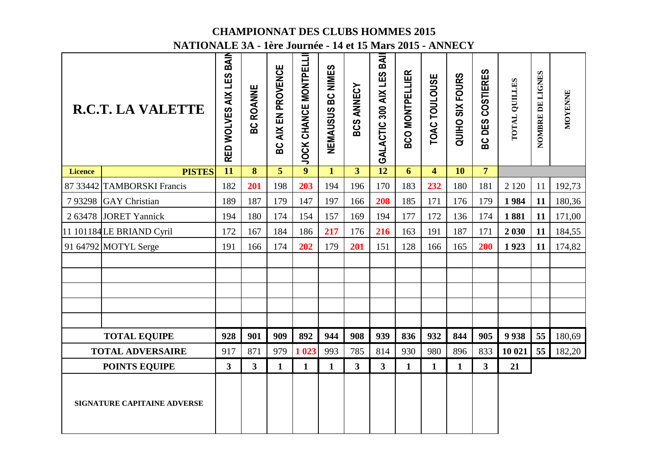|                | NATIONALE 3A - 1ère Journée - 14 et 15 Mars 2015 - ANNECY |                            |                         |                                  |                      |                   |                   |                             |                        |                |                        |                  |               |                  |         |
|----------------|-----------------------------------------------------------|----------------------------|-------------------------|----------------------------------|----------------------|-------------------|-------------------|-----------------------------|------------------------|----------------|------------------------|------------------|---------------|------------------|---------|
|                | <b>R.C.T. LA VALETTE</b>                                  | BAIN<br>RED WOLVES AIX LES | <b>ROANNE</b><br>ပ္ထ    | EN PROVENCE<br><b>AIX</b><br>ပ္က | JOCK CHANCE MONTPELL | NEMAUSUS BC NIMES | <b>BCS ANNECY</b> | BAI<br>GALACTIC 300 AIX LES | <b>BCO MONTPELLIER</b> | TOAC TOULOUSE  | <b>QUIHO SIX FOURS</b> | BC DES COSTIERES | TOTAL QUILLES | NOMBRE DE LIGNES | MOYENNE |
| <b>Licence</b> | <b>PISTES</b>                                             | $\overline{11}$            | $\overline{\mathbf{8}}$ | $\overline{5}$                   | $\overline{9}$       | $\overline{1}$    | $\overline{3}$    | $\overline{12}$             | $\overline{6}$         | $\overline{4}$ | $\overline{10}$        | $\overline{7}$   |               |                  |         |
|                | 87 33442 TAMBORSKI Francis                                | 182                        | 201                     | 198                              | 203                  | 194               | 196               | 170                         | 183                    | 232            | 180                    | 181              | 2 1 2 0       | 11               | 192,73  |
|                | 793298 GAY Christian                                      | 189                        | 187                     | 179                              | 147                  | 197               | 166               | 208                         | 185                    | 171            | 176                    | 179              | 1984          | 11               | 180,36  |
|                | 2 63478 JORET Yannick                                     | 194                        | 180                     | 174                              | 154                  | 157               | 169               | 194                         | 177                    | 172            | 136                    | 174              | 1881          | 11               | 171,00  |
|                | 11 101184 LE BRIAND Cyril                                 | 172                        | 167                     | 184                              | 186                  | 217               | 176               | 216                         | 163                    | 191            | 187                    | 171              | 2 0 3 0       | 11               | 184,55  |
|                | 91 64792 MOTYL Serge                                      | 191                        | 166                     | 174                              | 202                  | 179               | 201               | 151                         | 128                    | 166            | 165                    | 200              | 1923          | 11               | 174,82  |
|                |                                                           |                            |                         |                                  |                      |                   |                   |                             |                        |                |                        |                  |               |                  |         |
|                |                                                           |                            |                         |                                  |                      |                   |                   |                             |                        |                |                        |                  |               |                  |         |
|                |                                                           |                            |                         |                                  |                      |                   |                   |                             |                        |                |                        |                  |               |                  |         |
|                |                                                           |                            |                         |                                  |                      |                   |                   |                             |                        |                |                        |                  |               |                  |         |
|                | <b>TOTAL EQUIPE</b>                                       | 928                        | 901                     | 909                              | 892                  | 944               | 908               | 939                         | 836                    | 932            | 844                    | 905              | 9938          | 55               | 180,69  |
|                | <b>TOTAL ADVERSAIRE</b>                                   | 917                        | 871                     | 979                              | 1 0 23               | 993               | 785               | 814                         | 930                    | 980            | 896                    | 833              | 10 021        | 55               | 182,20  |
|                | <b>POINTS EQUIPE</b>                                      | $\mathbf{3}$               | $\overline{\mathbf{3}}$ | $\mathbf{1}$                     | $\mathbf{1}$         | $\mathbf{1}$      | 3 <sup>1</sup>    | $\mathbf{3}$                | $\mathbf{1}$           | $\mathbf{1}$   | $\mathbf{1}$           | 3                | 21            |                  |         |
|                | <b>SIGNATURE CAPITAINE ADVERSE</b>                        |                            |                         |                                  |                      |                   |                   |                             |                        |                |                        |                  |               |                  |         |